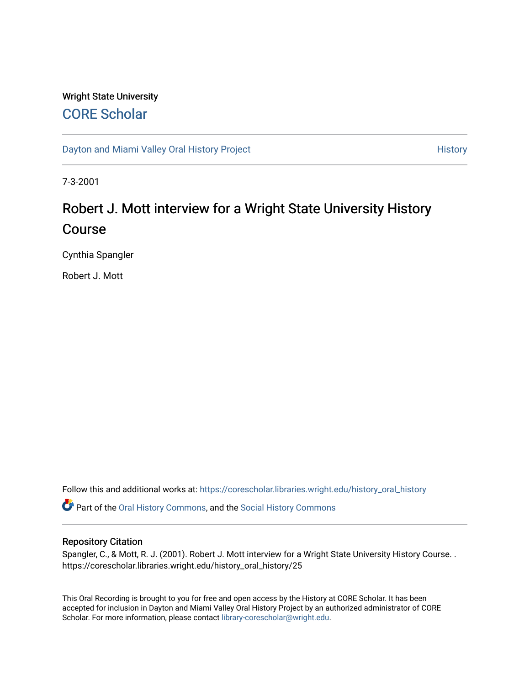# Wright State University [CORE Scholar](https://corescholar.libraries.wright.edu/)

[Dayton and Miami Valley Oral History Project](https://corescholar.libraries.wright.edu/history_oral_history) **History** History

7-3-2001

# Robert J. Mott interview for a Wright State University History Course

Cynthia Spangler

Robert J. Mott

Follow this and additional works at: [https://corescholar.libraries.wright.edu/history\\_oral\\_history](https://corescholar.libraries.wright.edu/history_oral_history?utm_source=corescholar.libraries.wright.edu%2Fhistory_oral_history%2F25&utm_medium=PDF&utm_campaign=PDFCoverPages) 

Part of the [Oral History Commons](http://network.bepress.com/hgg/discipline/1195?utm_source=corescholar.libraries.wright.edu%2Fhistory_oral_history%2F25&utm_medium=PDF&utm_campaign=PDFCoverPages), and the [Social History Commons](http://network.bepress.com/hgg/discipline/506?utm_source=corescholar.libraries.wright.edu%2Fhistory_oral_history%2F25&utm_medium=PDF&utm_campaign=PDFCoverPages)

### Repository Citation

Spangler, C., & Mott, R. J. (2001). Robert J. Mott interview for a Wright State University History Course. . https://corescholar.libraries.wright.edu/history\_oral\_history/25

This Oral Recording is brought to you for free and open access by the History at CORE Scholar. It has been accepted for inclusion in Dayton and Miami Valley Oral History Project by an authorized administrator of CORE Scholar. For more information, please contact [library-corescholar@wright.edu](mailto:library-corescholar@wright.edu).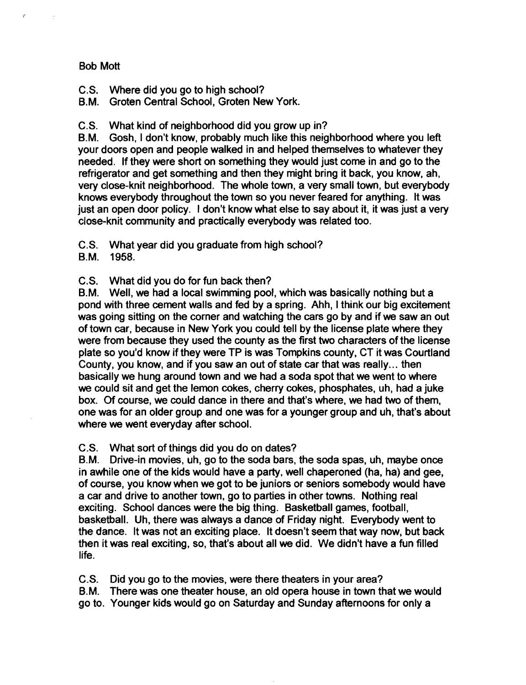# Bob Mott

 $\tau$ 

C.S. Where did you go to high school?

B.M. Groten Central School, Groten New York.

C.S. What kind of neighborhood did you grow up in?

B.M. Gosh, I don't know, probably much like this neighborhood where you left your doors open and people walked in and helped themselves to whatever they needed. If they were short on something they would just come in and go to the refrigerator and get something and then they might bring it back, you know, ah, very close-knit neighborhood. The whole town, a very small town, but everybody knows everybody throughout the town so you never feared for anything. It was just an open door policy. I don't know what else to say about it, it was just a very close-knit community and practically everybody was related too.

C.S. What year did you graduate from high school?

B.M. 1958.

C.S. What did you do for fun back then?

B.M. Well, we had a local swimming pool, which was basically nothing but a pond with three cement walls and fed by a spring. Ahh, I think our big excitement was going sitting on the corner and watching the cars go by and if we saw an out of town car, because in New York you could tell by the license plate where they were from because they used the county as the first two characters of the license plate so you'd know if they were TP is was Tompkins county, CT it was Courtland County, you know, and if you saw an out of state car that was really ... then basically we hung around town and we had a soda spot that we went to where we could sit and get the lemon cokes, cherry cokes, phosphates, uh, had a juke box. Of course, we could dance in there and that's where, we had two of them, one was for an older group and one was for a younger group and uh, that's about where we went everyday after school.

C.S. What sort of things did you do on dates?

B.M. Drive-in movies, uh, go to the soda bars, the soda spas, uh, maybe once in awhile one of the kids would have a party, well chaperoned (ha, ha) and gee, of course, you know when we got to be juniors or seniors somebody would have a car and drive to another town, go to parties in other towns. Nothing real exciting. School dances were the big thing. Basketball games, football, basketball. Uh, there was always a dance of Friday night. Everybody went to the dance. It was not an exciting place. It doesn't seem that way now, but back then it was real exciting, so, that's about all we did. We didn't have a fun filled life.

C.S. Did you go to the movies, were there theaters in your area?

B.M. There was one theater house, an old opera house in town that we would

go to. Younger kids would go on Saturday and Sunday afternoons for only a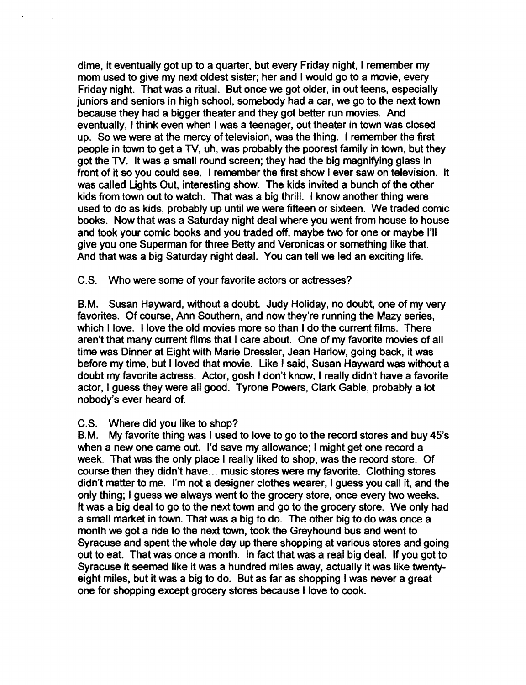dime, it eventually got up to a quarter, but every Friday night, I remember my mom used to give my next oldest sister; her and I would go to a movie, every Friday night. That was a ritual. But once we got older, in out teens, especially juniors and seniors in high school, somebody had a car, we go to the next town because they had a bigger theater and they got better run movies. And eventually, I think even when I was a teenager, out theater in town was closed up. So we were at the mercy of television, was the thing. I remember the first people in town to get a TV, uh, was probably the poorest family in town, but they got the TV. It was a small round screen; they had the big magnifying glass in front of it so you could see. I remember the first show I ever saw on television. It was called Lights Out, interesting show. The kids invited a bunch of the other kids from town out to watch. That was a big thrill. I know another thing were used to do as kids, probably up until we were fifteen or sixteen. We traded comic books. Now that was a Saturday night deal where you went from house to house and took your comic books and you traded off, maybe two for one or maybe I'll give you one Superman for three Betty and Veronicas or something like that. And that was a big Saturday night deal. You can tell we led an exciting life.

C.S. Who were some of your favorite actors or actresses?

B.M. Susan Hayward, without a doubt. Judy Holiday, no doubt, one of my very favorites. Of course, Ann Southern, and now they're running the Mazy series, which I love. I love the old movies more so than I do the current films. There aren't that many current films that I care about. One of my favorite movies of all time was Dinner at Eight with Marie Dressler, Jean Harlow, going back, it was before my time, but I loved that movie. Like I said, Susan Hayward was without a doubt my favorite actress. Actor, gosh I don't know, I really didn't have a favorite actor, I guess they were all good. Tyrone Powers, Clark Gable, probably a lot nobody's ever heard of.

# C.S. Where did you like to shop?

 $\mathcal{E}$ 

B.M. My favorite thing was I used to love to go to the record stores and buy 45's when a new one carne out. I'd save my allowance; I might get one record a week. That was the only place I really liked to shop, was the record store. Of course then they didn't have... music stores were my favorite. Clothing stores didn't matter to me. I'm not a designer clothes wearer, I guess you call it, and the only thing; I guess we always went to the grocery store, once every two weeks. It was a big deal to go to the next town and go to the grocery store. We only had a small market in town. That was a big to do. The other big to do was once a month we got a ride to the next town, took the Greyhound bus and went to Syracuse and spent the whole day up there shopping at various stores and going out to eat. That was once a month. In fact that was a real big deal. If you got to Syracuse it seemed like it was a hundred miles away, actually it was like twentyeight miles, but it was a big to do. But as far as shopping I was never a great one for shopping except grocery stores because I love to cook.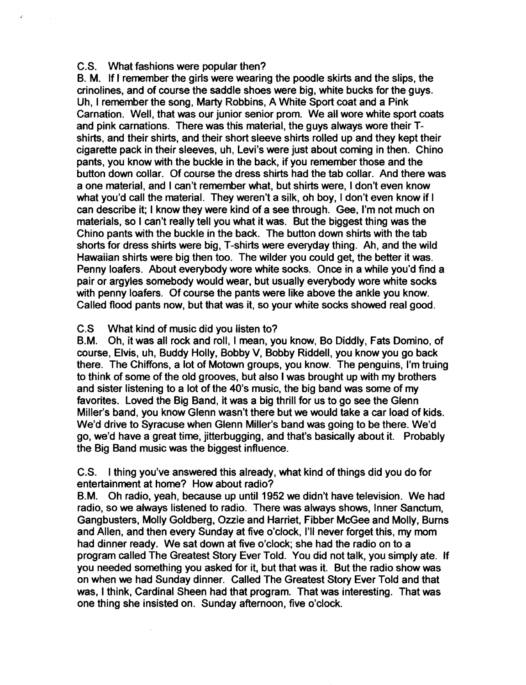# C.S. What fashions were popular then?

B. M. If I remember the girls were wearing the poodle skirts and the slips, the crinolines, and of course the saddle shoes were big, white bucks for the guys. Uh, I remember the song, Marty Robbins, A White Sport coat and a Pink Carnation. Well, that was our junior senior prom. We all wore white sport coats and pink carnations. There was this material, the guys always wore their Tshirts, and their shirts, and their short sleeve shirts rolled up and they kept their cigarette pack in their sleeves, uh, Levi's were just about coming in then. Chino pants, you know with the buckle in the back, if you remember those and the button down collar. Of course the dress shirts had the tab collar. And there was a one material, and I can't remember what, but shirts were, I don't even know what you'd call the material. They weren't a silk, oh boy, I don't even know if I can describe it; I know they were kind of a see through. Gee, I'm not much on materials, so I can't really tell you what it was. But the biggest thing was the Chino pants with the buckle in the back. The button down shirts with the tab shorts for dress shirts were big, T-shirts were everyday thing. Ah, and the wild Hawaiian shirts were big then too. The wilder you could get, the better it was. Penny loafers. About everybody wore white socks. Once in a while you'd find a pair or argyles somebody would wear, but usually everybody wore white socks with penny loafers. Of course the pants were like above the ankle you know. Called flood pants now, but that was it, so your white socks showed real good.

# C.S What kind of music did you listen to?

B.M. Oh, it was all rock and roll, I mean, you know, Bo Diddly, Fats Domino, of course, Elvis, uh, Buddy Holly, Bobby V, Bobby Riddell, you know you go back there. The Chiffons, a lot of Motown groups, you know. The penguins, I'm truing to think of some of the old grooves, but also I was brought up with my brothers and sister listening to a lot of the 40's music, the big band was some of my favorites. Loved the Big Band, it was a big thrill for us to go see the Glenn Miller's band, you know Glenn wasn't there but we would take a car load of kids. We'd drive to Syracuse when Glenn Miller's band was going to be there. We'd go, we'd have a great time, jitterbugging, and that's basically about it. Probably the Big Band music was the biggest influence.

C.S. I thing you've answered this already, what kind of things did you do for entertainment at home? How about radio?

B.M. Oh radio, yeah, because up until 1952 we didn't have television. We had radio, so we always listened to radio. There was always shows, Inner Sanctum, Gangbusters, Molly Goldberg, Ozzie and Harriet, Fibber McGee and Molly, Burns and Allen, and then every Sunday at five o'clock, I'll never forget this, my mom had dinner ready. We sat down at five o'clock; she had the radio on to a program called The Greatest Story Ever Told. You did not talk, you simply ate. If you needed something you asked for it, but that was it. But the radio show was on when we had Sunday dinner. Called The Greatest Story Ever Told and that was, I think, Cardinal Sheen had that program. That was interesting. That was one thing she insisted on. Sunday afternoon, five o'clock.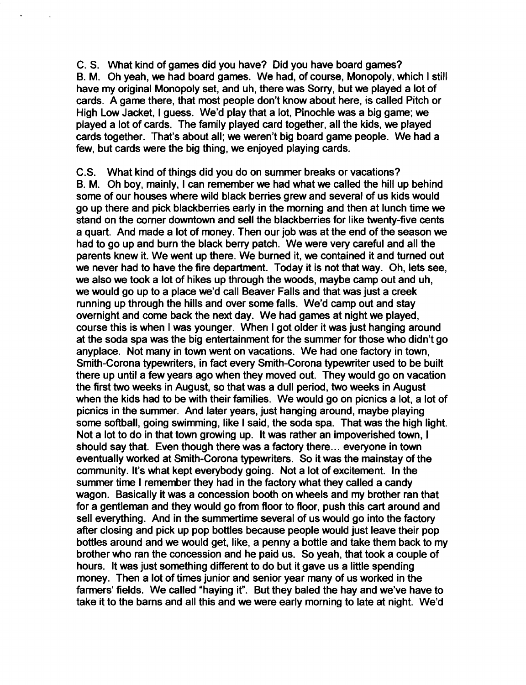C. S. What kind of games did you have? Did you have board games? B. M. Oh yeah, we had board games. We had, of course, Monopoly, which I still have my original Monopoly set, and uh, there was Sorry, but we played a lot of cards. A game there, that most people don't know about here, is called Pitch or High Low Jacket, I guess. We'd play that a lot, Pinochle was a big game; we played a lot of cards. The family played card together, all the kids, we played cards together. That's about all; we weren't big board game people. We had a few, but cards were the big thing, we enjoyed playing cards.

C.S. What kind of things did you do on summer breaks or vacations? B. M. Oh boy, mainly, I can remember we had what we called the hill up behind some of our houses where wild black berries grew and several of us kids would go up there and pick blackberries early in the morning and then at lunch time we stand on the corner downtown and sell the blackberries for like twenty-five cents a quart. And made a lot of money. Then our job was at the end of the season we had to go up and burn the black berry patch. We were very careful and all the parents knew it. We went up there. We burned it, we contained it and turned out we never had to have the fire department. Today it is not that way. Oh, lets see, we also we took a lot of hikes up through the woods, maybe camp out and uh, we would go up to a place we'd call Beaver Falls and that was just a creek running up through the hills and over some falls. We'd camp out and stay overnight and come back the next day. We had games at night we played, course this is when I was younger. When I got older it was just hanging around at the soda spa was the big entertainment for the summer for those who didn't go anyplace. Not many in town went on vacations. We had one factory in town, Smith-Corona typewriters, in fact every Smith-Corona typewriter used to be built there up until a few years ago when they moved out. They would go on vacation the first two weeks in August, so that was a dull period, two weeks in August when the kids had to be with their families. We would go on picnics a lot, a lot of picnics in the summer. And later years, just hanging around, maybe playing some softball, going swimming, like I said, the soda spa. That was the high light. Not a lot to do in that town growing up. It was rather an impoverished town, I should say that. Even though there was a factory there ... everyone in town eventually worked at Smith-Corona typewriters. So it was the mainstay of the community. It's what kept everybody going. Not a lot of excitement. In the summer time I remember they had in the factory what they called a candy wagon. Basically it was a concession booth on wheels and my brother ran that for a gentleman and they would go from floor to floor, push this cart around and sell everything. And in the summertime several of us would go into the factory after closing and pick up pop bottles because people would just leave their pop bottles around and we would get, like, a penny a bottle and take them back to my brother who ran the concession and he paid us. So yeah, that took a couple of hours. It was just something different to do but it gave us a little spending money. Then a lot of times junior and senior year many of us worked in the farmers' fields. We called "haying it". But they baled the hay and we've have to take it to the barns and all this and we were early morning to late at night. We'd